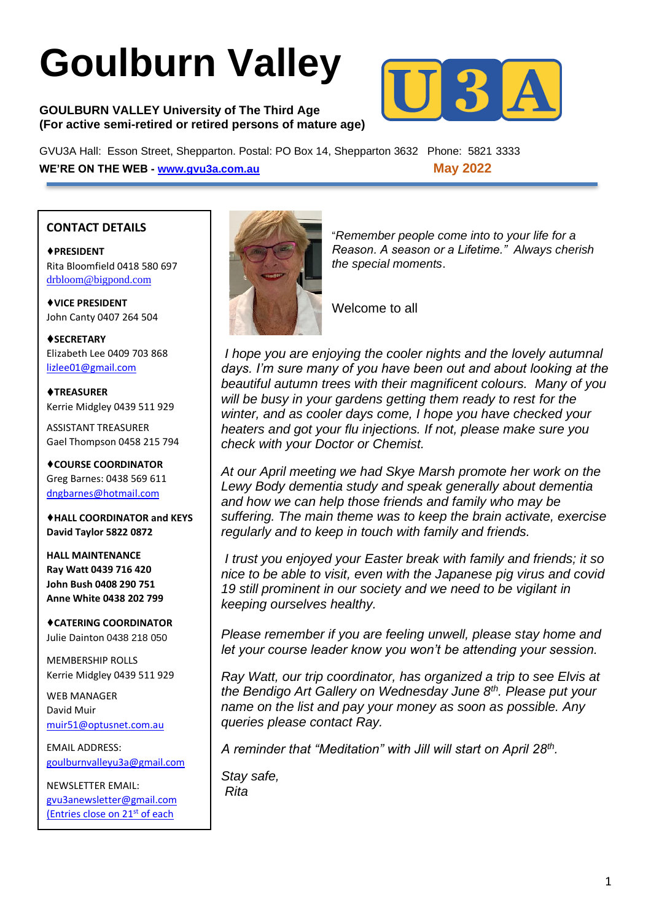# **Goulburn Valley**

#### **GOULBURN VALLEY University of The Third Age (For active semi-retired or retired persons of mature age)**



GVU3A Hall: Esson Street, Shepparton. Postal: PO Box 14, Shepparton 3632 Phone: 5821 3333 **WE'RE ON THE WEB - [www.gvu3a.com.au](http://www.gvu3a.com.au/) May 2022**

#### **CONTACT DETAILS**

♦**PRESIDENT** Rita Bloomfield 0418 580 697 [drbloom@bigpond.com](mailto:drbloom@bigpond.com)

♦**VICE PRESIDENT** John Canty 0407 264 504

♦**SECRETARY** Elizabeth Lee 0409 703 868 [lizlee01@gmail.com](mailto:lizlee01@gmail.com)

♦**TREASURER** Kerrie Midgley 0439 511 929

ASSISTANT TREASURER Gael Thompson 0458 215 794

♦**COURSE COORDINATOR**  Greg Barnes: 0438 569 611 [dngbarnes@hotmail.com](mailto:dngbarnes@hotmail.com)

♦**HALL COORDINATOR and KEYS David Taylor 5822 0872**

**HALL MAINTENANCE Ray Watt 0439 716 420 John Bush 0408 290 751 Anne White 0438 202 799**

♦**CATERING COORDINATOR** Julie Dainton 0438 218 050

MEMBERSHIP ROLLS Kerrie Midgley 0439 511 929

WEB MANAGER David Muir [muir51@optusnet.com.au](mailto:muir51@optusnet.com.au)

EMAIL ADDRESS: [goulburnvalleyu3a@gmail.com](mailto:goulburnvalleyu3a@gmail.com)

NEWSLETTER EMAIL: [gvu3anewsletter@gmail.com](mailto:gvu3anewsletter@gmail.com) (Entries close on 21<sup>st</sup> of each

month)



"*Remember people come into to your life for a Reason. A season or a Lifetime." Always cherish the special moments*.

Welcome to all

*I hope you are enjoying the cooler nights and the lovely autumnal days. I'm sure many of you have been out and about looking at the beautiful autumn trees with their magnificent colours. Many of you will be busy in your gardens getting them ready to rest for the winter, and as cooler days come, I hope you have checked your heaters and got your flu injections. If not, please make sure you check with your Doctor or Chemist.* 

*At our April meeting we had Skye Marsh promote her work on the Lewy Body dementia study and speak generally about dementia and how we can help those friends and family who may be suffering. The main theme was to keep the brain activate, exercise regularly and to keep in touch with family and friends.*

*I trust you enjoyed your Easter break with family and friends; it so nice to be able to visit, even with the Japanese pig virus and covid 19 still prominent in our society and we need to be vigilant in keeping ourselves healthy.*

*Please remember if you are feeling unwell, please stay home and let your course leader know you won't be attending your session.*

*Ray Watt, our trip coordinator, has organized a trip to see Elvis at the Bendigo Art Gallery on Wednesday June 8th. Please put your name on the list and pay your money as soon as possible. Any queries please contact Ray.*

*A reminder that "Meditation" with Jill will start on April 28th .*

*Stay safe, Rita*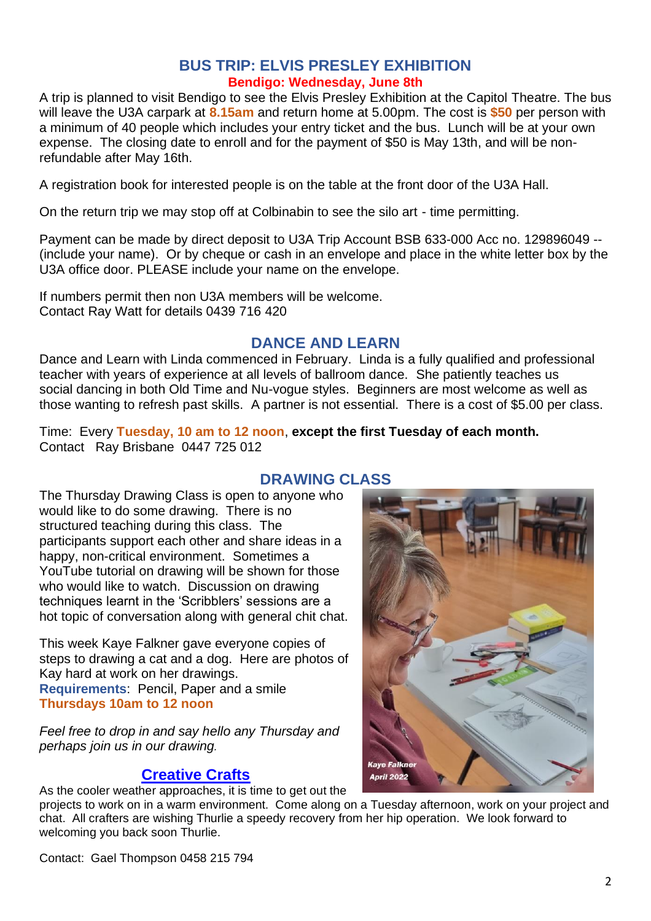#### **BUS TRIP: ELVIS PRESLEY EXHIBITION Bendigo: Wednesday, June 8th**

A trip is planned to visit Bendigo to see the Elvis Presley Exhibition at the Capitol Theatre. The bus will leave the U3A carpark at **8.15am** and return home at 5.00pm. The cost is **\$50** per person with a minimum of 40 people which includes your entry ticket and the bus. Lunch will be at your own expense. The closing date to enroll and for the payment of \$50 is May 13th, and will be nonrefundable after May 16th.

A registration book for interested people is on the table at the front door of the U3A Hall.

On the return trip we may stop off at Colbinabin to see the silo art - time permitting.

Payment can be made by direct deposit to U3A Trip Account BSB 633-000 Acc no. 129896049 -- (include your name). Or by cheque or cash in an envelope and place in the white letter box by the U3A office door. PLEASE include your name on the envelope.

If numbers permit then non U3A members will be welcome. Contact Ray Watt for details 0439 716 420

## **DANCE AND LEARN**

Dance and Learn with Linda commenced in February. Linda is a fully qualified and professional teacher with years of experience at all levels of ballroom dance. She patiently teaches us social dancing in both Old Time and Nu-vogue styles. Beginners are most welcome as well as those wanting to refresh past skills. A partner is not essential. There is a cost of \$5.00 per class.

Time: Every **Tuesday, 10 am to 12 noon**, **except the first Tuesday of each month.** Contact Ray Brisbane 0447 725 012

# **DRAWING CLASS**

The Thursday Drawing Class is open to anyone who would like to do some drawing. There is no structured teaching during this class. The participants support each other and share ideas in a happy, non-critical environment. Sometimes a YouTube tutorial on drawing will be shown for those who would like to watch. Discussion on drawing techniques learnt in the 'Scribblers' sessions are a hot topic of conversation along with general chit chat.

This week Kaye Falkner gave everyone copies of steps to drawing a cat and a dog. Here are photos of Kay hard at work on her drawings. **Requirements**: Pencil, Paper and a smile **Thursdays 10am to 12 noon**

*Feel free to drop in and say hello any Thursday and perhaps join us in our drawing.*

## **[Creative Crafts](https://www.gvu3a.com.au/creative-craft)**

As the cooler weather approaches, it is time to get out the

projects to work on in a warm environment. Come along on a Tuesday afternoon, work on your project and chat. All crafters are wishing Thurlie a speedy recovery from her hip operation. We look forward to welcoming you back soon Thurlie.

**Kave Falkn April 2022** 

Contact: Gael Thompson 0458 215 794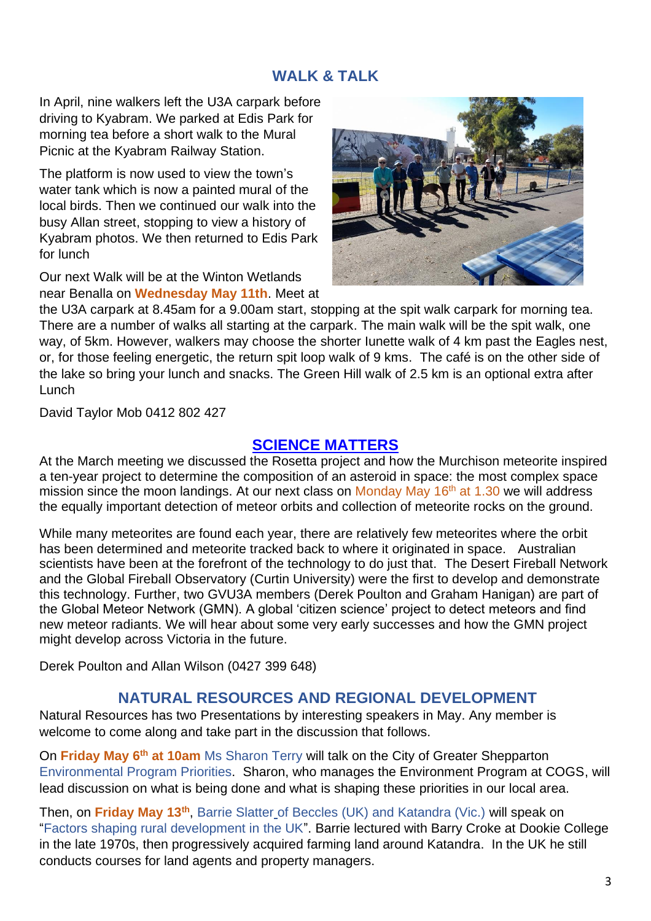## **WALK & TALK**

In April, nine walkers left the U3A carpark before driving to Kyabram. We parked at Edis Park for morning tea before a short walk to the Mural Picnic at the Kyabram Railway Station.

The platform is now used to view the town's water tank which is now a painted mural of the local birds. Then we continued our walk into the busy Allan street, stopping to view a history of Kyabram photos. We then returned to Edis Park for lunch

Our next Walk will be at the Winton Wetlands near Benalla on **Wednesday May 11th**. Meet at



the U3A carpark at 8.45am for a 9.00am start, stopping at the spit walk carpark for morning tea. There are a number of walks all starting at the carpark. The main walk will be the spit walk, one way, of 5km. However, walkers may choose the shorter Iunette walk of 4 km past the Eagles nest, or, for those feeling energetic, the return spit loop walk of 9 kms. The café is on the other side of the lake so bring your lunch and snacks. The Green Hill walk of 2.5 km is an optional extra after Lunch

David Taylor Mob 0412 802 427

## **[SCIENCE MATTERS](https://www.gvu3a.com.au/science-matters)**

At the March meeting we discussed the Rosetta project and how the Murchison meteorite inspired a ten-year project to determine the composition of an asteroid in space: the most complex space mission since the moon landings. At our next class on Monday May  $16<sup>th</sup>$  at 1.30 we will address the equally important detection of meteor orbits and collection of meteorite rocks on the ground.

While many meteorites are found each year, there are relatively few meteorites where the orbit has been determined and meteorite tracked back to where it originated in space. Australian scientists have been at the forefront of the technology to do just that. The Desert Fireball Network and the Global Fireball Observatory (Curtin University) were the first to develop and demonstrate this technology. Further, two GVU3A members (Derek Poulton and Graham Hanigan) are part of the Global Meteor Network (GMN). A global 'citizen science' project to detect meteors and find new meteor radiants. We will hear about some very early successes and how the GMN project might develop across Victoria in the future.

Derek Poulton and Allan Wilson (0427 399 648)

## **NATURAL RESOURCES AND REGIONAL DEVELOPMENT**

Natural Resources has two Presentations by interesting speakers in May. Any member is welcome to come along and take part in the discussion that follows.

On **Friday May 6th at 10am** Ms Sharon Terry will talk on the City of Greater Shepparton Environmental Program Priorities. Sharon, who manages the Environment Program at COGS, will lead discussion on what is being done and what is shaping these priorities in our local area.

Then, on Friday May 13<sup>th</sup>, Barrie Slatter<sub>-</sub>of Beccles (UK) and Katandra (Vic.) will speak on "Factors shaping rural development in the UK". Barrie lectured with Barry Croke at Dookie College in the late 1970s, then progressively acquired farming land around Katandra. In the UK he still conducts courses for land agents and property managers.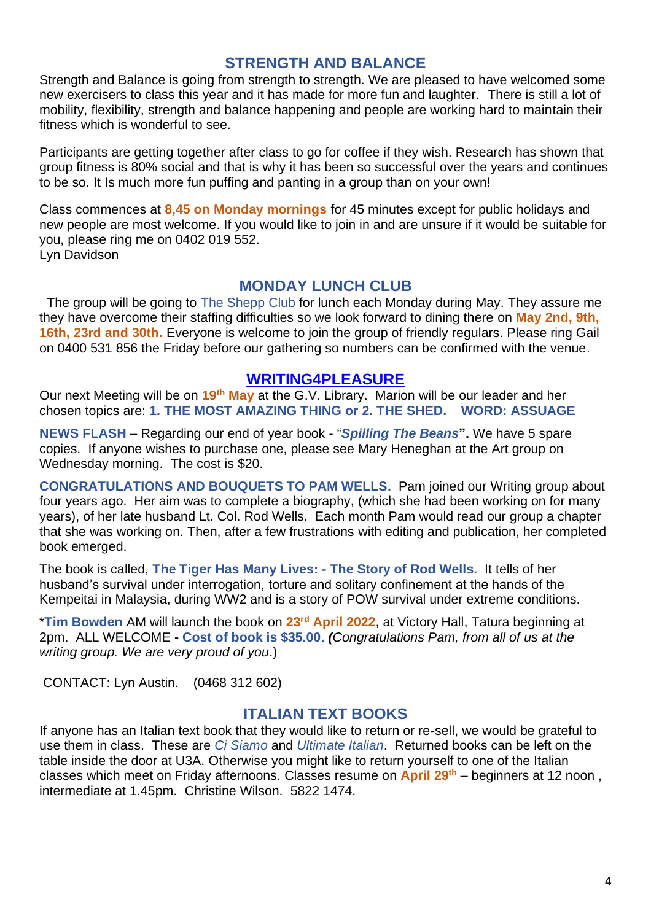## **STRENGTH AND BALANCE**

Strength and Balance is going from strength to strength. We are pleased to have welcomed some new exercisers to class this year and it has made for more fun and laughter. There is still a lot of mobility, flexibility, strength and balance happening and people are working hard to maintain their fitness which is wonderful to see.

Participants are getting together after class to go for coffee if they wish. Research has shown that group fitness is 80% social and that is why it has been so successful over the years and continues to be so. It Is much more fun puffing and panting in a group than on your own!

Class commences at **8,45 on Monday mornings** for 45 minutes except for public holidays and new people are most welcome. If you would like to join in and are unsure if it would be suitable for you, please ring me on 0402 019 552. Lyn Davidson

#### **MONDAY LUNCH CLUB**

The group will be going to The Shepp Club for lunch each Monday during May. They assure me they have overcome their staffing difficulties so we look forward to dining there on **May 2nd, 9th, 16th, 23rd and 30th.** Everyone is welcome to join the group of friendly regulars. Please ring Gail on 0400 531 856 the Friday before our gathering so numbers can be confirmed with the venue.

#### **[WRITING4PLEASURE](https://www.gvu3a.com.au/writing-for-pleasure)**

Our next Meeting will be on **19th May** at the G.V. Library. Marion will be our leader and her chosen topics are: **1. THE MOST AMAZING THING or 2. THE SHED. WORD: ASSUAGE**

**NEWS FLASH** – Regarding our end of year book - "*Spilling The Beans***".** We have 5 spare copies. If anyone wishes to purchase one, please see Mary Heneghan at the Art group on Wednesday morning. The cost is \$20.

**CONGRATULATIONS AND BOUQUETS TO PAM WELLS.** Pam joined our Writing group about four years ago. Her aim was to complete a biography, (which she had been working on for many years), of her late husband Lt. Col. Rod Wells. Each month Pam would read our group a chapter that she was working on. Then, after a few frustrations with editing and publication, her completed book emerged.

The book is called, **The Tiger Has Many Lives: - The Story of Rod Wells.** It tells of her husband's survival under interrogation, torture and solitary confinement at the hands of the Kempeitai in Malaysia, during WW2 and is a story of POW survival under extreme conditions.

\***Tim Bowden** AM will launch the book on **23rd April 2022**, at Victory Hall, Tatura beginning at 2pm. ALL WELCOME **- Cost of book is \$35.00.** *(Congratulations Pam, from all of us at the writing group. We are very proud of you*.)

CONTACT: Lyn Austin. (0468 312 602)

### **ITALIAN TEXT BOOKS**

If anyone has an Italian text book that they would like to return or re-sell, we would be grateful to use them in class. These are *Ci Siamo* and *Ultimate Italian*. Returned books can be left on the table inside the door at U3A. Otherwise you might like to return yourself to one of the Italian classes which meet on Friday afternoons. Classes resume on **April 29th** – beginners at 12 noon , intermediate at 1.45pm. Christine Wilson. 5822 1474.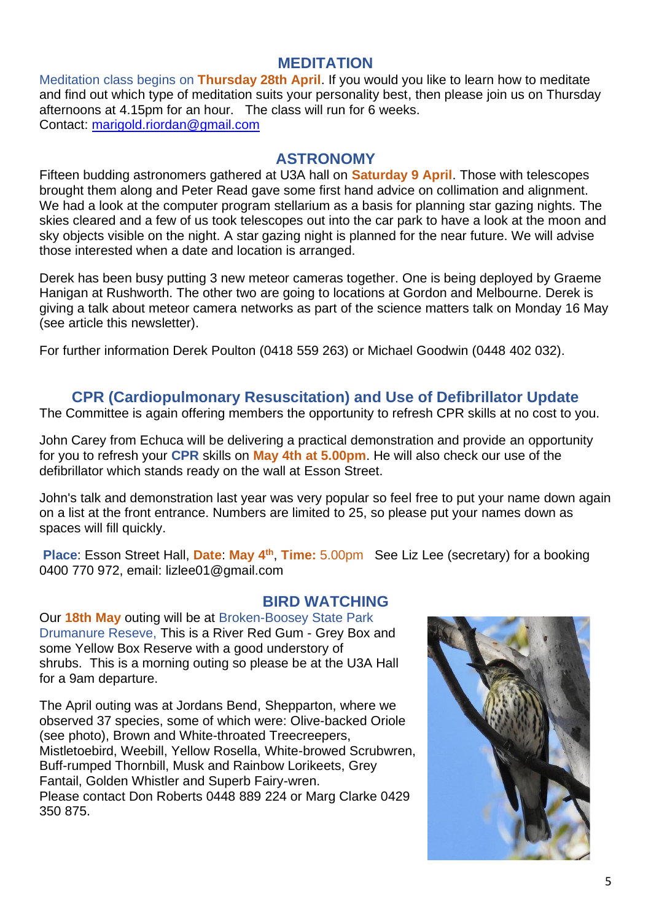#### **MEDITATION**

Meditation class begins on **Thursday 28th April**. If you would you like to learn how to meditate and find out which type of meditation suits your personality best, then please join us on Thursday afternoons at 4.15pm for an hour. The class will run for 6 weeks. Contact: [marigold.riordan@gmail.com](mailto:marigold.riordan@gmail.com)

### **ASTRONOMY**

Fifteen budding astronomers gathered at U3A hall on **Saturday 9 April**. Those with telescopes brought them along and Peter Read gave some first hand advice on collimation and alignment. We had a look at the computer program stellarium as a basis for planning star gazing nights. The skies cleared and a few of us took telescopes out into the car park to have a look at the moon and sky objects visible on the night. A star gazing night is planned for the near future. We will advise those interested when a date and location is arranged.

Derek has been busy putting 3 new meteor cameras together. One is being deployed by Graeme Hanigan at Rushworth. The other two are going to locations at Gordon and Melbourne. Derek is giving a talk about meteor camera networks as part of the science matters talk on Monday 16 May (see article this newsletter).

For further information Derek Poulton (0418 559 263) or Michael Goodwin (0448 402 032).

## **CPR (Cardiopulmonary Resuscitation) and Use of Defibrillator Update**

The Committee is again offering members the opportunity to refresh CPR skills at no cost to you.

John Carey from Echuca will be delivering a practical demonstration and provide an opportunity for you to refresh your **CPR** skills on **May 4th at 5.00pm**. He will also check our use of the defibrillator which stands ready on the wall at Esson Street.

John's talk and demonstration last year was very popular so feel free to put your name down again on a list at the front entrance. Numbers are limited to 25, so please put your names down as spaces will fill quickly.

**Place**: Esson Street Hall, **Date**: **May 4th** , **Time:** 5.00pm See Liz Lee (secretary) for a booking 0400 770 972, email: lizlee01@gmail.com

### **BIRD WATCHING**

Our **18th May** outing will be at Broken-Boosey State Park Drumanure Reseve, This is a River Red Gum - Grey Box and some Yellow Box Reserve with a good understory of shrubs. This is a morning outing so please be at the U3A Hall for a 9am departure.

The April outing was at Jordans Bend, Shepparton, where we observed 37 species, some of which were: Olive-backed Oriole (see photo), Brown and White-throated Treecreepers, Mistletoebird, Weebill, Yellow Rosella, White-browed Scrubwren, Buff-rumped Thornbill, Musk and Rainbow Lorikeets, Grey Fantail, Golden Whistler and Superb Fairy-wren. Please contact Don Roberts 0448 889 224 or Marg Clarke 0429 350 875.

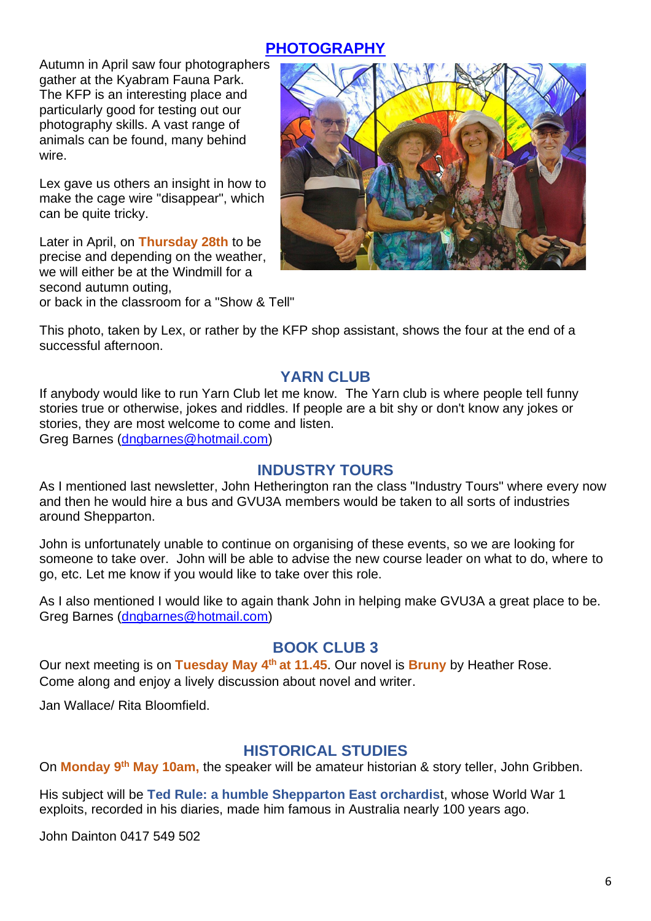# **[PHOTOGRAPHY](https://www.gvu3a.com.au/photography)**

Autumn in April saw four photographers gather at the Kyabram Fauna Park. The KFP is an interesting place and particularly good for testing out our photography skills. A vast range of animals can be found, many behind wire.

Lex gave us others an insight in how to make the cage wire "disappear", which can be quite tricky.

Later in April, on **Thursday 28th** to be precise and depending on the weather, we will either be at the Windmill for a second autumn outing, or back in the classroom for a "Show & Tell"



This photo, taken by Lex, or rather by the KFP shop assistant, shows the four at the end of a successful afternoon.

## **YARN CLUB**

If anybody would like to run Yarn Club let me know. The Yarn club is where people tell funny stories true or otherwise, jokes and riddles. If people are a bit shy or don't know any jokes or stories, they are most welcome to come and listen.

Greg Barnes [\(dngbarnes@hotmail.com\)](mailto:dngbarnes@hotmail.com)

## **INDUSTRY TOURS**

As I mentioned last newsletter, John Hetherington ran the class "Industry Tours" where every now and then he would hire a bus and GVU3A members would be taken to all sorts of industries around Shepparton.

John is unfortunately unable to continue on organising of these events, so we are looking for someone to take over. John will be able to advise the new course leader on what to do, where to go, etc. Let me know if you would like to take over this role.

As I also mentioned I would like to again thank John in helping make GVU3A a great place to be. Greg Barnes [\(dngbarnes@hotmail.com\)](mailto:dngbarnes@hotmail.com)

### **BOOK CLUB 3**

Our next meeting is on **Tuesday May 4th at 11.45**. Our novel is **Bruny** by Heather Rose. Come along and enjoy a lively discussion about novel and writer.

Jan Wallace/ Rita Bloomfield.

## **HISTORICAL STUDIES**

On **Monday 9th May 10am,** the speaker will be amateur historian & story teller, John Gribben.

His subject will be **Ted Rule: a humble Shepparton East orchardis**t, whose World War 1 exploits, recorded in his diaries, made him famous in Australia nearly 100 years ago.

John Dainton 0417 549 502